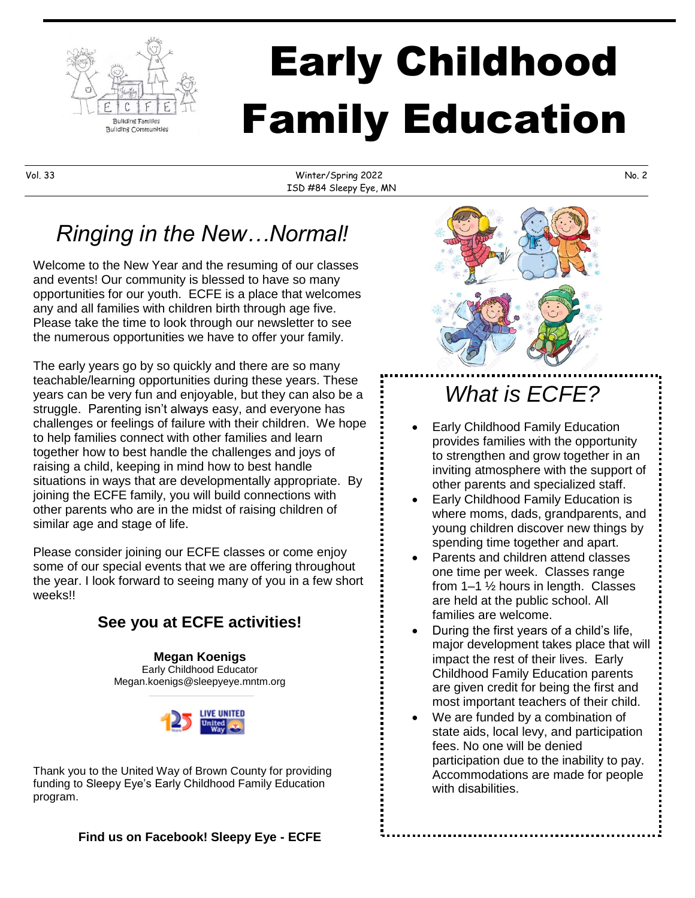

# Early Childhood Family Education

Vol. 33 Winter/Spring 2022 No. 2 ISD #84 Sleepy Eye, MN

# *Ringing in the New…Normal!*

Welcome to the New Year and the resuming of our classes and events! Our community is blessed to have so many opportunities for our youth. ECFE is a place that welcomes any and all families with children birth through age five. Please take the time to look through our newsletter to see the numerous opportunities we have to offer your family.

The early years go by so quickly and there are so many teachable/learning opportunities during these years. These years can be very fun and enjoyable, but they can also be a struggle. Parenting isn't always easy, and everyone has challenges or feelings of failure with their children. We hope to help families connect with other families and learn together how to best handle the challenges and joys of raising a child, keeping in mind how to best handle situations in ways that are developmentally appropriate. By joining the ECFE family, you will build connections with other parents who are in the midst of raising children of similar age and stage of life.

Please consider joining our ECFE classes or come enjoy some of our special events that we are offering throughout the year. I look forward to seeing many of you in a few short weeks!!

#### **See you at ECFE activities!**

**Megan Koenigs** Early Childhood Educator Megan.koenigs@sleepyeye.mntm.org



Thank you to the United Way of Brown County for providing funding to Sleepy Eye's Early Childhood Family Education program.



# *What is ECFE?*

- Early Childhood Family Education provides families with the opportunity to strengthen and grow together in an inviting atmosphere with the support of other parents and specialized staff.
- Early Childhood Family Education is where moms, dads, grandparents, and young children discover new things by spending time together and apart.
- Parents and children attend classes one time per week. Classes range from 1–1 ½ hours in length. Classes are held at the public school. All families are welcome.
- During the first years of a child's life, major development takes place that will impact the rest of their lives. Early Childhood Family Education parents are given credit for being the first and most important teachers of their child.
- We are funded by a combination of state aids, local levy, and participation fees. No one will be denied participation due to the inability to pay. Accommodations are made for people with disabilities.

**Find us on Facebook! Sleepy Eye - ECFE**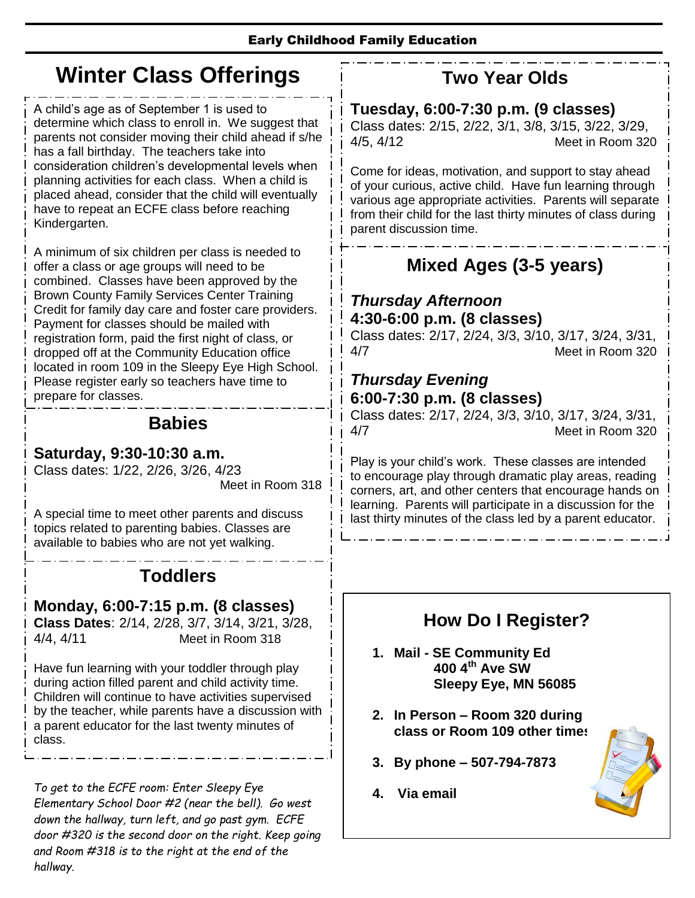# **Winter Class Offerings**

A child's age as of September 1 is used to determine which class to enroll in. We suggest that parents not consider moving their child ahead if s/he has a fall birthday. The teachers take into consideration children's developmental levels when planning activities for each class. When a child is placed ahead, consider that the child will eventually have to repeat an ECFE class before reaching Kindergarten.

A minimum of six children per class is needed to offer a class or age groups will need to be combined. Classes have been approved by the Brown County Family Services Center Training Credit for family day care and foster care providers. Payment for classes should be mailed with registration form, paid the first night of class, or dropped off at the Community Education office located in room 109 in the Sleepy Eye High School. Please register early so teachers have time to prepare for classes.

#### **Babies**

#### **Saturday, 9:30-10:30 a.m.**

Class dates: 1/22, 2/26, 3/26, 4/23

Meet in Room 318

A special time to meet other parents and discuss topics related to parenting babies. Classes are available to babies who are not yet walking.

## **Toddlers**

#### **Monday, 6:00-7:15 p.m. (8 classes)**

**Class Dates**: 2/14, 2/28, 3/7, 3/14, 3/21, 3/28, 4/4, 4/11 Meet in Room 318

Have fun learning with your toddler through play during action filled parent and child activity time. Children will continue to have activities supervised by the teacher, while parents have a discussion with a parent educator for the last twenty minutes of class.

topics related to toddler development. *To get to the ECFE room: Enter Sleepy Eye Elementary School Door #2 (near the bell). Go west down the hallway, turn left, and go past gym. ECFE door #320 is the second door on the right. Keep going and Room #318 is to the right at the end of the hallway.*

#### **Two Year Olds**

**Tuesday, 6:00-7:30 p.m. (9 classes)** Class dates: 2/15, 2/22, 3/1, 3/8, 3/15, 3/22, 3/29, 4/5, 4/12 Meet in Room 320

Come for ideas, motivation, and support to stay ahead of your curious, active child. Have fun learning through various age appropriate activities. Parents will separate from their child for the last thirty minutes of class during parent discussion time.

## **Mixed Ages (3-5 years)**

#### *Thursday Afternoon* **4:30-6:00 p.m. (8 classes)**

Class dates: 2/17, 2/24, 3/3, 3/10, 3/17, 3/24, 3/31, 4/7 Meet in Room 320

#### *Thursday Evening* **6:00-7:30 p.m. (8 classes)**

Class dates: 2/17, 2/24, 3/3, 3/10, 3/17, 3/24, 3/31, 4/7 Meet in Room 320

Play is your child's work. These classes are intended to encourage play through dramatic play areas, reading corners, art, and other centers that encourage hands on learning. Parents will participate in a discussion for the last thirty minutes of the class led by a parent educator.

#### **How Do I Register?**

- **1. Mail - SE Community Ed 400 4th Ave SW Sleepy Eye, MN 56085**
- **2. In Person – Room 320 during class or Room 109 other times**
- **3. By phone – 507-794-7873**
- **4. Via email**

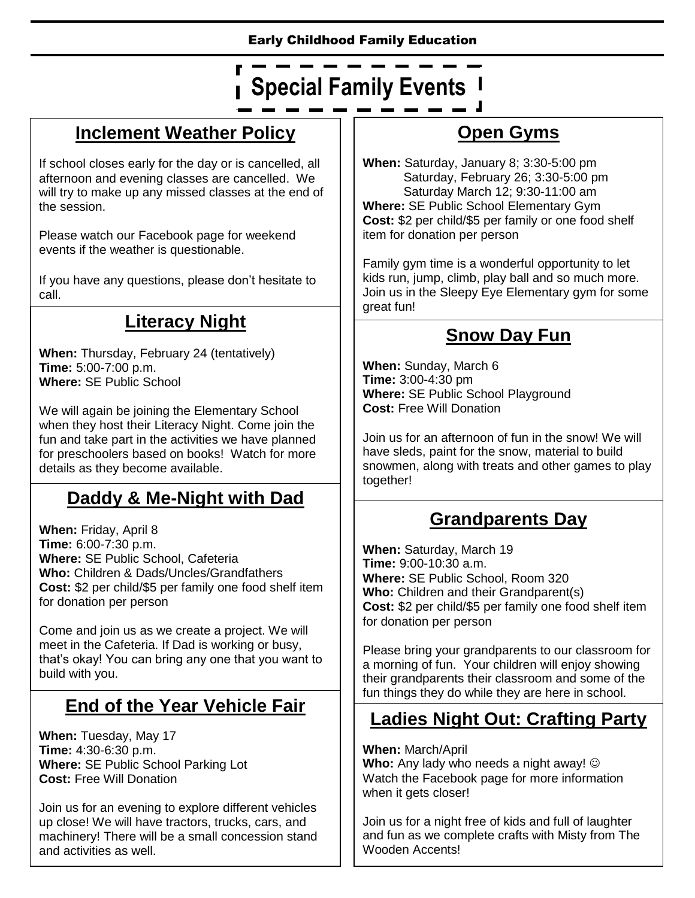#### Early Childhood Family Education

# **Special Family Events**

#### **Inclement Weather Policy**

If school closes early for the day or is cancelled, all afternoon and evening classes are cancelled. We will try to make up any missed classes at the end of the session.

Please watch our Facebook page for weekend events if the weather is questionable.

If you have any questions, please don't hesitate to call.

#### **Literacy Night**

**When:** Thursday, February 24 (tentatively) **Time:** 5:00-7:00 p.m. **Where:** SE Public School

We will again be joining the Elementary School when they host their Literacy Night. Come join the fun and take part in the activities we have planned for preschoolers based on books! Watch for more details as they become available.

#### **Daddy & Me-Night with Dad**

**When:** Friday, April 8 **Time:** 6:00-7:30 p.m. **Where:** SE Public School, Cafeteria **Who:** Children & Dads/Uncles/Grandfathers **Cost:** \$2 per child/\$5 per family one food shelf item for donation per person

Come and join us as we create a project. We will meet in the Cafeteria. If Dad is working or busy, that's okay! You can bring any one that you want to build with you.

## **End of the Year Vehicle Fair**

**When:** Tuesday, May 17 **Time:** 4:30-6:30 p.m. **Where:** SE Public School Parking Lot **Cost:** Free Will Donation

Join us for an evening to explore different vehicles up close! We will have tractors, trucks, cars, and machinery! There will be a small concession stand and activities as well.

#### **Open Gyms**

**When:** Saturday, January 8; 3:30-5:00 pm Saturday, February 26; 3:30-5:00 pm Saturday March 12; 9:30-11:00 am **Where:** SE Public School Elementary Gym **Cost:** \$2 per child/\$5 per family or one food shelf item for donation per person

Family gym time is a wonderful opportunity to let kids run, jump, climb, play ball and so much more. Join us in the Sleepy Eye Elementary gym for some great fun!

#### **Snow Day Fun**

**When:** Sunday, March 6 **Time:** 3:00-4:30 pm **Where:** SE Public School Playground **Cost:** Free Will Donation

Join us for an afternoon of fun in the snow! We will have sleds, paint for the snow, material to build snowmen, along with treats and other games to play together!

#### **Grandparents Day**

**When:** Saturday, March 19 **Time:** 9:00-10:30 a.m. **Where:** SE Public School, Room 320 **Who:** Children and their Grandparent(s) **Cost:** \$2 per child/\$5 per family one food shelf item for donation per person

Please bring your grandparents to our classroom for a morning of fun. Your children will enjoy showing their grandparents their classroom and some of the fun things they do while they are here in school.

#### **Ladies Night Out: Crafting Party**

**When:** March/April **Who:** Any lady who needs a night away!  $\odot$ Watch the Facebook page for more information when it gets closer!

Join us for a night free of kids and full of laughter and fun as we complete crafts with Misty from The Wooden Accents!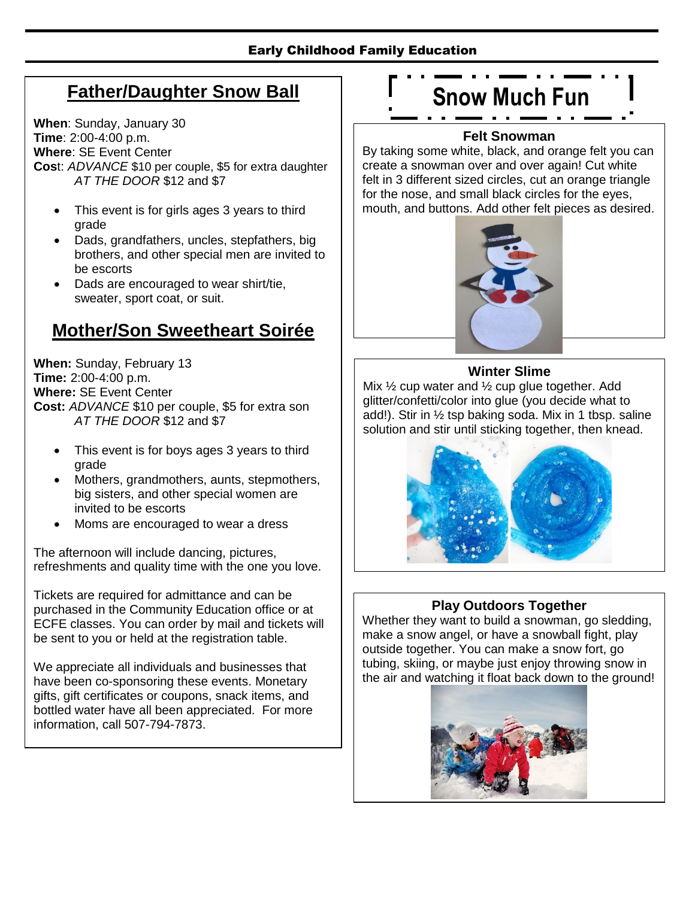#### Early Childhood Family Education

#### **Father/Daughter Snow Ball**

**When**: Sunday, January 30 **Time**: 2:00-4:00 p.m. **Where**: SE Event Center **Cos**t: *ADVANCE* \$10 per couple, \$5 for extra daughter *AT THE DOOR* \$12 and \$7

- This event is for girls ages 3 years to third grade
- Dads, grandfathers, uncles, stepfathers, big brothers, and other special men are invited to be escorts
- Dads are encouraged to wear shirt/tie, sweater, sport coat, or suit.

#### **Mother/Son Sweetheart Soirée**

**When:** Sunday, February 13 **Time:** 2:00-4:00 p.m. **Where:** SE Event Center **Cost:** *ADVANCE* \$10 per couple, \$5 for extra son *AT THE DOOR* \$12 and \$7

- This event is for boys ages 3 years to third grade
- Mothers, grandmothers, aunts, stepmothers, big sisters, and other special women are invited to be escorts
- Moms are encouraged to wear a dress

The afternoon will include dancing, pictures, refreshments and quality time with the one you love.

Tickets are required for admittance and can be purchased in the Community Education office or at ECFE classes. You can order by mail and tickets will be sent to you or held at the registration table.

We appreciate all individuals and businesses that have been co-sponsoring these events. Monetary gifts, gift certificates or coupons, snack items, and bottled water have all been appreciated. For more information, call 507-794-7873.

#### **Snow Much Fun**. . . .

#### **Felt Snowman**

By taking some white, black, and orange felt you can create a snowman over and over again! Cut white felt in 3 different sized circles, cut an orange triangle for the nose, and small black circles for the eyes, mouth, and buttons. Add other felt pieces as desired.



#### **Winter Slime**

Mix  $\frac{1}{2}$  cup water and  $\frac{1}{2}$  cup glue together. Add glitter/confetti/color into glue (you decide what to add!). Stir in ½ tsp baking soda. Mix in 1 tbsp. saline solution and stir until sticking together, then knead.



#### **Play Outdoors Together**

Whether they want to build a snowman, go sledding, make a snow angel, or have a snowball fight, play outside together. You can make a snow fort, go tubing, skiing, or maybe just enjoy throwing snow in the air and watching it float back down to the ground!

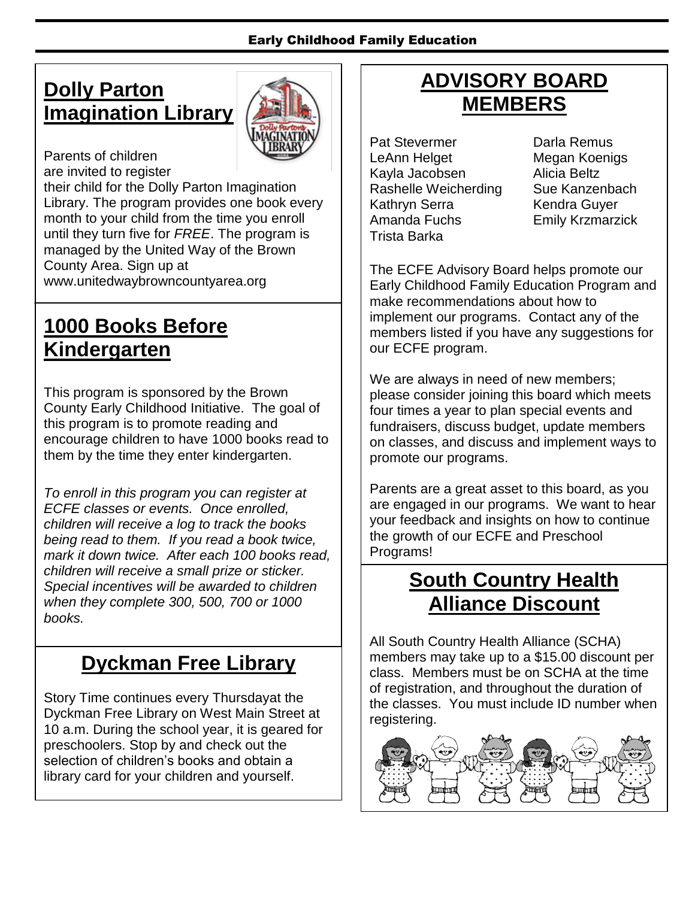## **Dolly Parton Imagination Library**



Parents of children are invited to register their child for the Dolly Parton Imagination Library. The program provides one book every month to your child from the time you enroll until they turn five for *FREE*. The program is managed by the United Way of the Brown County Area. Sign up at [www.unitedwaybrowncountyarea.org](http://www.unitedwaybrowncountyarea.org/)

## **1000 Books Before Kindergarten**

This program is sponsored by the Brown County Early Childhood Initiative. The goal of this program is to promote reading and encourage children to have 1000 books read to them by the time they enter kindergarten.

*To enroll in this program you can register at ECFE classes or events. Once enrolled, children will receive a log to track the books being read to them. If you read a book twice, mark it down twice. After each 100 books read, children will receive a small prize or sticker. Special incentives will be awarded to children when they complete 300, 500, 700 or 1000 books.* 

## **Dyckman Free Library**

Story Time continues every Thursdayat the Dyckman Free Library on West Main Street at 10 a.m. During the school year, it is geared for preschoolers. Stop by and check out the selection of children's books and obtain a library card for your children and yourself.

## **ADVISORY BOARD MEMBERS**

Pat Stevermer **Darla Remus** LeAnn Helget Megan Koenigs Kayla Jacobsen Alicia Beltz Rashelle Weicherding Sue Kanzenbach Kathryn Serra Kendra Guyer Amanda Fuchs Emily Krzmarzick Trista Barka

The ECFE Advisory Board helps promote our Early Childhood Family Education Program and make recommendations about how to implement our programs. Contact any of the members listed if you have any suggestions for our ECFE program.

We are always in need of new members; please consider joining this board which meets four times a year to plan special events and fundraisers, discuss budget, update members on classes, and discuss and implement ways to promote our programs.

Parents are a great asset to this board, as you are engaged in our programs. We want to hear your feedback and insights on how to continue the growth of our ECFE and Preschool Programs!

## **South Country Health Alliance Discount**

All South Country Health Alliance (SCHA) members may take up to a \$15.00 discount per class. Members must be on SCHA at the time of registration, and throughout the duration of the classes. You must include ID number when registering.

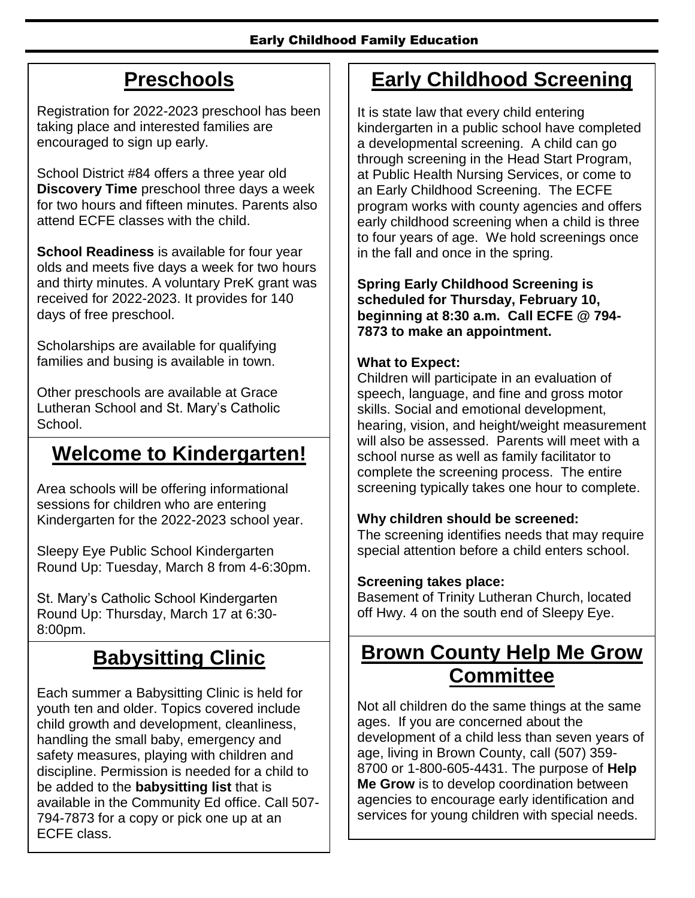## **Preschools**

Registration for 2022-2023 preschool has been taking place and interested families are encouraged to sign up early.

School District #84 offers a three year old **Discovery Time** preschool three days a week for two hours and fifteen minutes. Parents also attend ECFE classes with the child.

**School Readiness** is available for four year olds and meets five days a week for two hours and thirty minutes. A voluntary PreK grant was received for 2022-2023. It provides for 140 days of free preschool.

Scholarships are available for qualifying families and busing is available in town.

Other preschools are available at Grace Lutheran School and St. Mary's Catholic School.

## **Welcome to Kindergarten!**

Area schools will be offering informational sessions for children who are entering Kindergarten for the 2022-2023 school year.

Sleepy Eye Public School Kindergarten Round Up: Tuesday, March 8 from 4-6:30pm.

St. Mary's Catholic School Kindergarten Round Up: Thursday, March 17 at 6:30- 8:00pm.

# **Babysitting Clinic**

Each summer a Babysitting Clinic is held for youth ten and older. Topics covered include child growth and development, cleanliness, handling the small baby, emergency and safety measures, playing with children and discipline. Permission is needed for a child to be added to the **babysitting list** that is available in the Community Ed office. Call 507- 794-7873 for a copy or pick one up at an ECFE class.

## **Early Childhood Screening**

It is state law that every child entering kindergarten in a public school have completed a developmental screening. A child can go through screening in the Head Start Program, at Public Health Nursing Services, or come to an Early Childhood Screening. The ECFE program works with county agencies and offers early childhood screening when a child is three to four years of age. We hold screenings once in the fall and once in the spring.

**Spring Early Childhood Screening is scheduled for Thursday, February 10, beginning at 8:30 a.m. Call ECFE @ 794- 7873 to make an appointment.**

#### **What to Expect:**

Children will participate in an evaluation of speech, language, and fine and gross motor skills. Social and emotional development, hearing, vision, and height/weight measurement will also be assessed. Parents will meet with a school nurse as well as family facilitator to complete the screening process. The entire screening typically takes one hour to complete.

#### **Why children should be screened:**

The screening identifies needs that may require special attention before a child enters school.

#### **Screening takes place:**

Basement of Trinity Lutheran Church, located off Hwy. 4 on the south end of Sleepy Eye.

## **Brown County Help Me Grow Committee**

Not all children do the same things at the same ages. If you are concerned about the development of a child less than seven years of age, living in Brown County, call (507) 359- 8700 or 1-800-605-4431. The purpose of **Help Me Grow** is to develop coordination between agencies to encourage early identification and services for young children with special needs.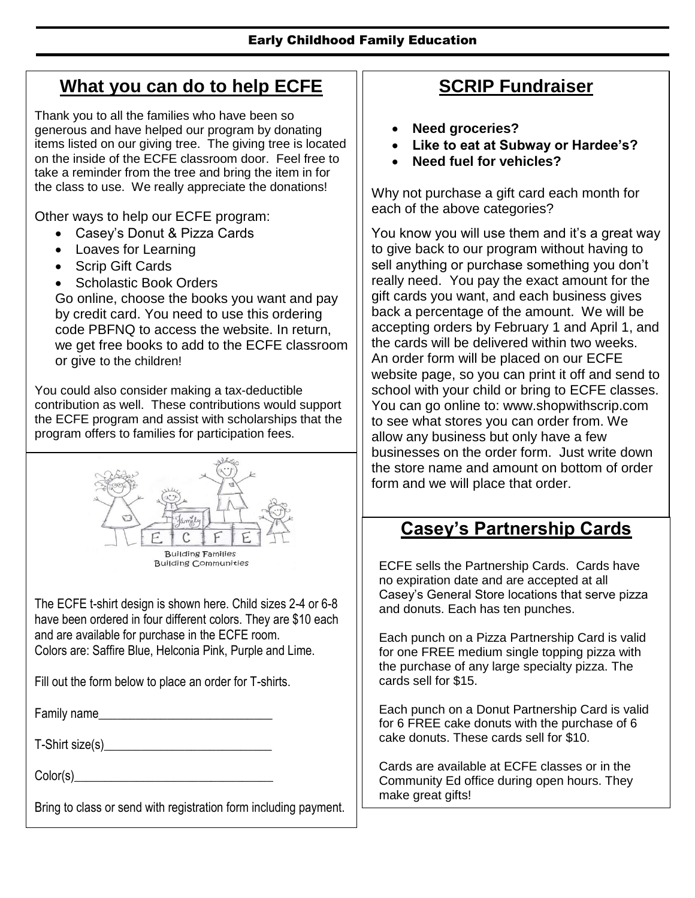#### **What you can do to help ECFE**

Thank you to all the families who have been so generous and have helped our program by donating items listed on our giving tree. The giving tree is located on the inside of the ECFE classroom door. Feel free to take a reminder from the tree and bring the item in for the class to use. We really appreciate the donations!

Other ways to help our ECFE program:

- Casey's Donut & Pizza Cards
- Loaves for Learning
- Scrip Gift Cards
- Scholastic Book Orders

Go online, choose the books you want and pay by credit card. You need to use this ordering code PBFNQ to access the website. In return, we get free books to add to the ECFE classroom or give to the children!

You could also consider making a tax-deductible contribution as well. These contributions would support the ECFE program and assist with scholarships that the program offers to families for participation fees.



The ECFE t-shirt design is shown here. Child sizes 2-4 or 6-8 have been ordered in four different colors. They are \$10 each and are available for purchase in the ECFE room. Colors are: Saffire Blue, Helconia Pink, Purple and Lime.

Fill out the form below to place an order for T-shirts.

Family name

T-Shirt size(s)\_\_\_\_\_\_\_\_\_\_\_\_\_\_\_\_\_\_\_\_\_\_\_\_\_\_\_

Color(s)\_\_\_\_\_\_\_\_\_\_\_\_\_\_\_\_\_\_\_\_\_\_\_\_\_\_\_\_\_\_\_\_

Bring to class or send with registration form including payment.

#### **SCRIP Fundraiser**

- **Need groceries?**
- **Like to eat at Subway or Hardee's?**
- **Need fuel for vehicles?**

Why not purchase a gift card each month for each of the above categories?

You know you will use them and it's a great way to give back to our program without having to sell anything or purchase something you don't really need. You pay the exact amount for the gift cards you want, and each business gives back a percentage of the amount. We will be accepting orders by February 1 and April 1, and the cards will be delivered within two weeks. An order form will be placed on our ECFE website page, so you can print it off and send to school with your child or bring to ECFE classes. You can go online to: [www.shopwithscrip.com](http://www.shopwithscrip.com/) to see what stores you can order from. We allow any business but only have a few businesses on the order form. Just write down the store name and amount on bottom of order form and we will place that order.

## **Casey's Partnership Cards**

ECFE sells the Partnership Cards. Cards have no expiration date and are accepted at all Casey's General Store locations that serve pizza and donuts. Each has ten punches.

Each punch on a Pizza Partnership Card is valid for one FREE medium single topping pizza with the purchase of any large specialty pizza. The cards sell for \$15.

Each punch on a Donut Partnership Card is valid for 6 FREE cake donuts with the purchase of 6 cake donuts. These cards sell for \$10.

Cards are available at ECFE classes or in the Community Ed office during open hours. They make great gifts!